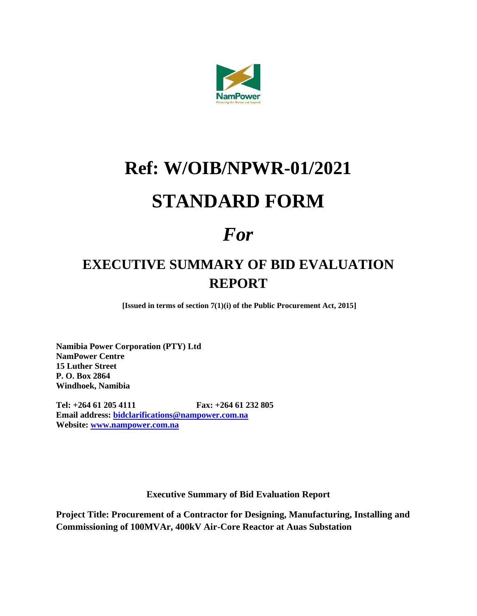

# **Ref: W/OIB/NPWR-01/2021 STANDARD FORM**

## *For*

### **EXECUTIVE SUMMARY OF BID EVALUATION REPORT**

**[Issued in terms of section 7(1)(i) of the Public Procurement Act, 2015]**

**Namibia Power Corporation (PTY) Ltd NamPower Centre 15 Luther Street P. O. Box 2864 Windhoek, Namibia**

**Tel: +264 61 205 4111 Fax: +264 61 232 805 Email address: [bidclarifications@nampower.com.na](mailto:bidclarifications@nampower.com.na) Website: [www.nampower.com.na](http://www.nampower.com.na/)**

**Executive Summary of Bid Evaluation Report**

**Project Title: Procurement of a Contractor for Designing, Manufacturing, Installing and Commissioning of 100MVAr, 400kV Air-Core Reactor at Auas Substation**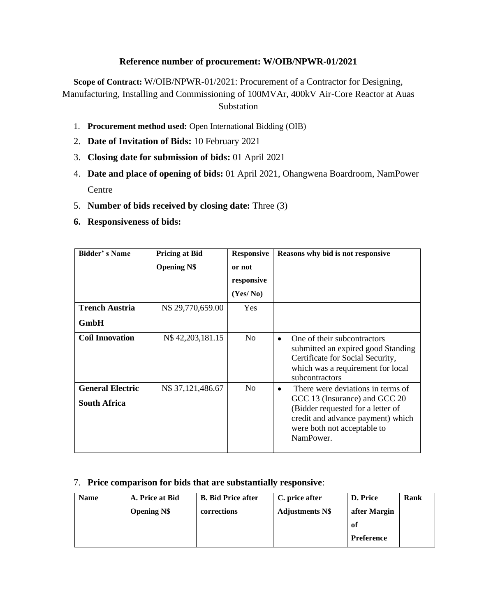#### **Reference number of procurement: W/OIB/NPWR-01/2021**

**Scope of Contract:** W/OIB/NPWR-01/2021: Procurement of a Contractor for Designing, Manufacturing, Installing and Commissioning of 100MVAr, 400kV Air-Core Reactor at Auas Substation

- 1. **Procurement method used:** Open International Bidding (OIB)
- 2. **Date of Invitation of Bids:** 10 February 2021
- 3. **Closing date for submission of bids:** 01 April 2021
- 4. **Date and place of opening of bids:** 01 April 2021, Ohangwena Boardroom, NamPower **Centre**
- 5. **Number of bids received by closing date:** Three (3)
- **6. Responsiveness of bids:**

| Bidder's Name                                  | <b>Pricing at Bid</b> | <b>Responsive</b> | Reasons why bid is not responsive                                                                                                                                                                     |  |  |
|------------------------------------------------|-----------------------|-------------------|-------------------------------------------------------------------------------------------------------------------------------------------------------------------------------------------------------|--|--|
|                                                | <b>Opening N\$</b>    | or not            |                                                                                                                                                                                                       |  |  |
|                                                |                       | responsive        |                                                                                                                                                                                                       |  |  |
|                                                |                       | (Yes/No)          |                                                                                                                                                                                                       |  |  |
| <b>Trench Austria</b>                          | N\$ 29,770,659.00     | Yes               |                                                                                                                                                                                                       |  |  |
| <b>GmbH</b>                                    |                       |                   |                                                                                                                                                                                                       |  |  |
| <b>Coil Innovation</b>                         | N\$42,203,181.15      | N <sub>0</sub>    | One of their subcontractors<br>$\bullet$<br>submitted an expired good Standing<br>Certificate for Social Security,<br>which was a requirement for local<br>subcontractors                             |  |  |
| <b>General Electric</b><br><b>South Africa</b> | N\$ 37,121,486.67     | N <sub>0</sub>    | There were deviations in terms of<br>$\bullet$<br>GCC 13 (Insurance) and GCC 20<br>(Bidder requested for a letter of<br>credit and advance payment) which<br>were both not acceptable to<br>NamPower. |  |  |

#### 7. **Price comparison for bids that are substantially responsive**:

| <b>Name</b> | A. Price at Bid    | <b>B.</b> Bid Price after | C. price after         | D. Price          | Rank |
|-------------|--------------------|---------------------------|------------------------|-------------------|------|
|             | <b>Opening N\$</b> | corrections               | <b>Adjustments N\$</b> | after Margin      |      |
|             |                    |                           |                        | of                |      |
|             |                    |                           |                        | <b>Preference</b> |      |